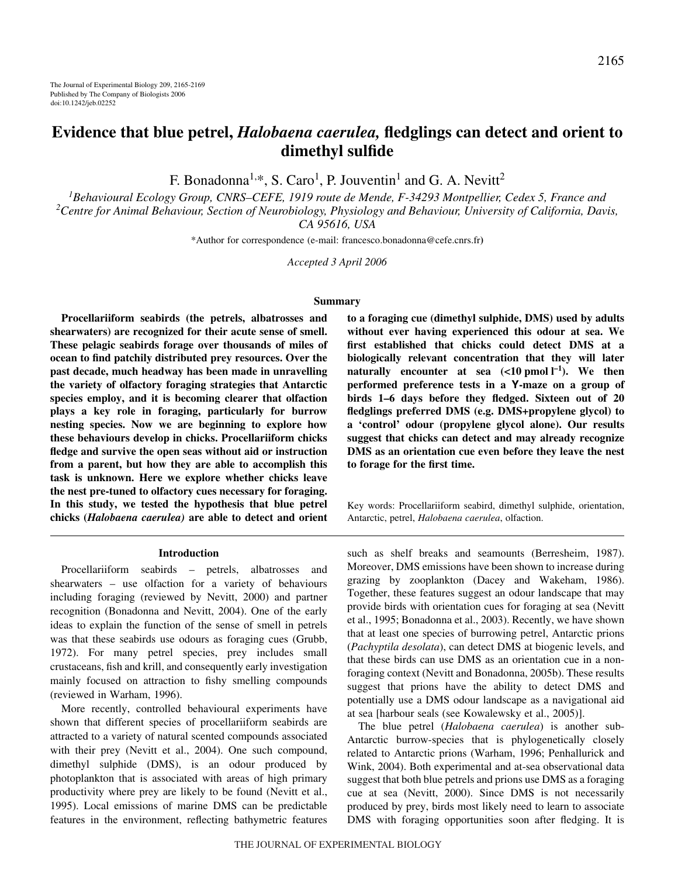# **Evidence that blue petrel,** *Halobaena caerulea,* **fledglings can detect and orient to dimethyl sulfide**

F. Bonadonna<sup>1,\*</sup>, S. Caro<sup>1</sup>, P. Jouventin<sup>1</sup> and G. A. Nevitt<sup>2</sup>

*1 Behavioural Ecology Group, CNRS–CEFE, 1919 route de Mende, F-34293 Montpellier, Cedex 5, France and 2 Centre for Animal Behaviour, Section of Neurobiology, Physiology and Behaviour, University of California, Davis, CA 95616, USA*

\*Author for correspondence (e-mail: francesco.bonadonna@cefe.cnrs.fr**)**

*Accepted 3 April 2006*

### **Summary**

**Procellariiform seabirds (the petrels, albatrosses and shearwaters) are recognized for their acute sense of smell. These pelagic seabirds forage over thousands of miles of ocean to find patchily distributed prey resources. Over the past decade, much headway has been made in unravelling the variety of olfactory foraging strategies that Antarctic species employ, and it is becoming clearer that olfaction plays a key role in foraging, particularly for burrow nesting species. Now we are beginning to explore how these behaviours develop in chicks. Procellariiform chicks fledge and survive the open seas without aid or instruction from a parent, but how they are able to accomplish this task is unknown. Here we explore whether chicks leave the nest pre-tuned to olfactory cues necessary for foraging. In this study, we tested the hypothesis that blue petrel chicks (***Halobaena caerulea)* **are able to detect and orient**

#### **Introduction**

Procellariiform seabirds – petrels, albatrosses and shearwaters – use olfaction for a variety of behaviours including foraging (reviewed by Nevitt, 2000) and partner recognition (Bonadonna and Nevitt, 2004). One of the early ideas to explain the function of the sense of smell in petrels was that these seabirds use odours as foraging cues (Grubb, 1972). For many petrel species, prey includes small crustaceans, fish and krill, and consequently early investigation mainly focused on attraction to fishy smelling compounds (reviewed in Warham, 1996).

More recently, controlled behavioural experiments have shown that different species of procellariiform seabirds are attracted to a variety of natural scented compounds associated with their prey (Nevitt et al., 2004). One such compound, dimethyl sulphide (DMS), is an odour produced by photoplankton that is associated with areas of high primary productivity where prey are likely to be found (Nevitt et al., 1995). Local emissions of marine DMS can be predictable features in the environment, reflecting bathymetric features

**to a foraging cue (dimethyl sulphide, DMS) used by adults without ever having experienced this odour at sea. We first established that chicks could detect DMS at a biologically relevant concentration that they will later naturally encounter at sea (<10 pmol l<sup>-1</sup>). We then performed preference tests in a Y-maze on a group of birds 1–6 days before they fledged. Sixteen out of 20 fledglings preferred DMS (e.g. DMS+propylene glycol) to a 'control' odour (propylene glycol alone). Our results suggest that chicks can detect and may already recognize DMS as an orientation cue even before they leave the nest to forage for the first time.**

Key words: Procellariiform seabird, dimethyl sulphide, orientation, Antarctic, petrel, *Halobaena caerulea*, olfaction.

such as shelf breaks and seamounts (Berresheim, 1987). Moreover, DMS emissions have been shown to increase during grazing by zooplankton (Dacey and Wakeham, 1986). Together, these features suggest an odour landscape that may provide birds with orientation cues for foraging at sea (Nevitt et al., 1995; Bonadonna et al., 2003). Recently, we have shown that at least one species of burrowing petrel, Antarctic prions (*Pachyptila desolata*), can detect DMS at biogenic levels, and that these birds can use DMS as an orientation cue in a nonforaging context (Nevitt and Bonadonna, 2005b). These results suggest that prions have the ability to detect DMS and potentially use a DMS odour landscape as a navigational aid at sea [harbour seals (see Kowalewsky et al., 2005)].

The blue petrel (*Halobaena caerulea*) is another sub-Antarctic burrow-species that is phylogenetically closely related to Antarctic prions (Warham, 1996; Penhallurick and Wink, 2004). Both experimental and at-sea observational data suggest that both blue petrels and prions use DMS as a foraging cue at sea (Nevitt, 2000). Since DMS is not necessarily produced by prey, birds most likely need to learn to associate DMS with foraging opportunities soon after fledging. It is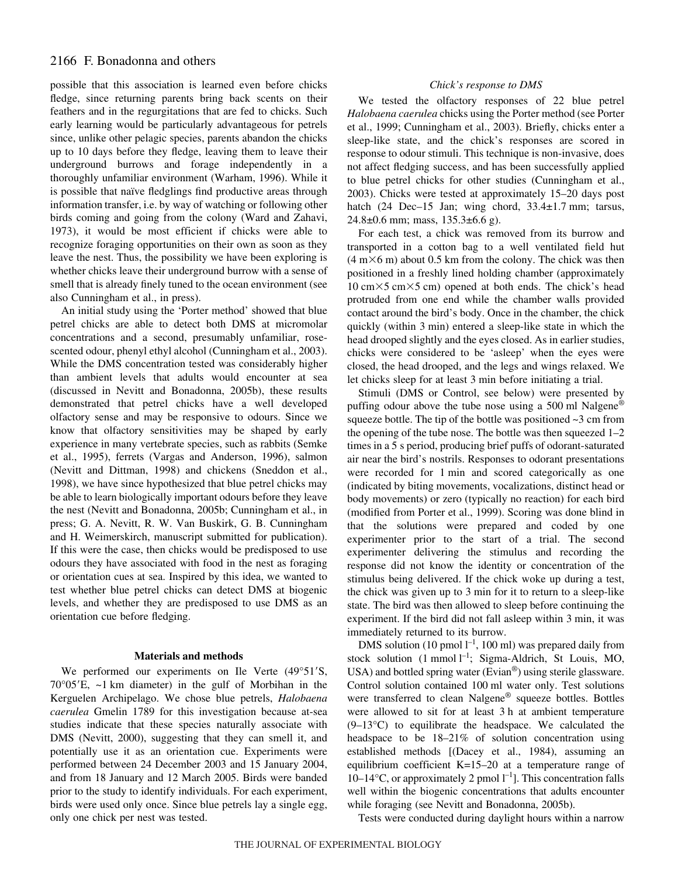possible that this association is learned even before chicks fledge, since returning parents bring back scents on their feathers and in the regurgitations that are fed to chicks. Such early learning would be particularly advantageous for petrels since, unlike other pelagic species, parents abandon the chicks up to 10 days before they fledge, leaving them to leave their underground burrows and forage independently in a thoroughly unfamiliar environment (Warham, 1996). While it is possible that naïve fledglings find productive areas through information transfer, i.e. by way of watching or following other birds coming and going from the colony (Ward and Zahavi, 1973), it would be most efficient if chicks were able to recognize foraging opportunities on their own as soon as they leave the nest. Thus, the possibility we have been exploring is whether chicks leave their underground burrow with a sense of smell that is already finely tuned to the ocean environment (see also Cunningham et al., in press).

An initial study using the 'Porter method' showed that blue petrel chicks are able to detect both DMS at micromolar concentrations and a second, presumably unfamiliar, rosescented odour, phenyl ethyl alcohol (Cunningham et al., 2003). While the DMS concentration tested was considerably higher than ambient levels that adults would encounter at sea (discussed in Nevitt and Bonadonna, 2005b), these results demonstrated that petrel chicks have a well developed olfactory sense and may be responsive to odours. Since we know that olfactory sensitivities may be shaped by early experience in many vertebrate species, such as rabbits (Semke et al., 1995), ferrets (Vargas and Anderson, 1996), salmon (Nevitt and Dittman, 1998) and chickens (Sneddon et al., 1998), we have since hypothesized that blue petrel chicks may be able to learn biologically important odours before they leave the nest (Nevitt and Bonadonna, 2005b; Cunningham et al., in press; G. A. Nevitt, R. W. Van Buskirk, G. B. Cunningham and H. Weimerskirch, manuscript submitted for publication). If this were the case, then chicks would be predisposed to use odours they have associated with food in the nest as foraging or orientation cues at sea. Inspired by this idea, we wanted to test whether blue petrel chicks can detect DMS at biogenic levels, and whether they are predisposed to use DMS as an orientation cue before fledging.

# **Materials and methods**

We performed our experiments on Ile Verte (49°51'S,  $70^{\circ}05'E$ , ~1 km diameter) in the gulf of Morbihan in the Kerguelen Archipelago. We chose blue petrels, *Halobaena caerulea* Gmelin 1789 for this investigation because at-sea studies indicate that these species naturally associate with DMS (Nevitt, 2000), suggesting that they can smell it, and potentially use it as an orientation cue. Experiments were performed between 24 December 2003 and 15 January 2004, and from 18 January and 12 March 2005. Birds were banded prior to the study to identify individuals. For each experiment, birds were used only once. Since blue petrels lay a single egg, only one chick per nest was tested.

# *Chick's response to DMS*

We tested the olfactory responses of 22 blue petrel *Halobaena caerulea* chicks using the Porter method (see Porter et al., 1999; Cunningham et al., 2003). Briefly, chicks enter a sleep-like state, and the chick's responses are scored in response to odour stimuli. This technique is non-invasive, does not affect fledging success, and has been successfully applied to blue petrel chicks for other studies (Cunningham et al., 2003). Chicks were tested at approximately 15–20 days post hatch (24 Dec–15 Jan; wing chord,  $33.4 \pm 1.7$  mm; tarsus,  $24.8\pm0.6$  mm; mass,  $135.3\pm6.6$  g).

For each test, a chick was removed from its burrow and transported in a cotton bag to a well ventilated field hut  $(4 \text{ m} \times 6 \text{ m})$  about 0.5 km from the colony. The chick was then positioned in a freshly lined holding chamber (approximately  $10 \text{ cm} \times 5 \text{ cm} \times 5 \text{ cm}$  opened at both ends. The chick's head protruded from one end while the chamber walls provided contact around the bird's body. Once in the chamber, the chick quickly (within 3 min) entered a sleep-like state in which the head drooped slightly and the eyes closed. As in earlier studies, chicks were considered to be 'asleep' when the eyes were closed, the head drooped, and the legs and wings relaxed. We let chicks sleep for at least 3 min before initiating a trial.

Stimuli (DMS or Control, see below) were presented by puffing odour above the tube nose using a 500 ml Nalgene<sup>®</sup> squeeze bottle. The tip of the bottle was positioned  $\sim$ 3 cm from the opening of the tube nose. The bottle was then squeezed 1–2 times in a 5 s period, producing brief puffs of odorant-saturated air near the bird's nostrils. Responses to odorant presentations were recorded for 1 min and scored categorically as one (indicated by biting movements, vocalizations, distinct head or body movements) or zero (typically no reaction) for each bird (modified from Porter et al., 1999). Scoring was done blind in that the solutions were prepared and coded by one experimenter prior to the start of a trial. The second experimenter delivering the stimulus and recording the response did not know the identity or concentration of the stimulus being delivered. If the chick woke up during a test, the chick was given up to 3 min for it to return to a sleep-like state. The bird was then allowed to sleep before continuing the experiment. If the bird did not fall asleep within 3 min, it was immediately returned to its burrow.

DMS solution (10 pmol  $l^{-1}$ , 100 ml) was prepared daily from stock solution  $(1 \text{ mmol } l^{-1})$ ; Sigma-Aldrich, St Louis, MO, USA) and bottled spring water (Evian<sup>®</sup>) using sterile glassware. Control solution contained 100 ml water only. Test solutions were transferred to clean Nalgene<sup>®</sup> squeeze bottles. Bottles were allowed to sit for at least 3 h at ambient temperature (9–13°C) to equilibrate the headspace. We calculated the headspace to be 18–21% of solution concentration using established methods [(Dacey et al., 1984), assuming an equilibrium coefficient K=15–20 at a temperature range of 10–14 $\rm ^{\circ}C$ , or approximately 2 pmol  $\rm l^{-1}$ ]. This concentration falls well within the biogenic concentrations that adults encounter while foraging (see Nevitt and Bonadonna, 2005b).

Tests were conducted during daylight hours within a narrow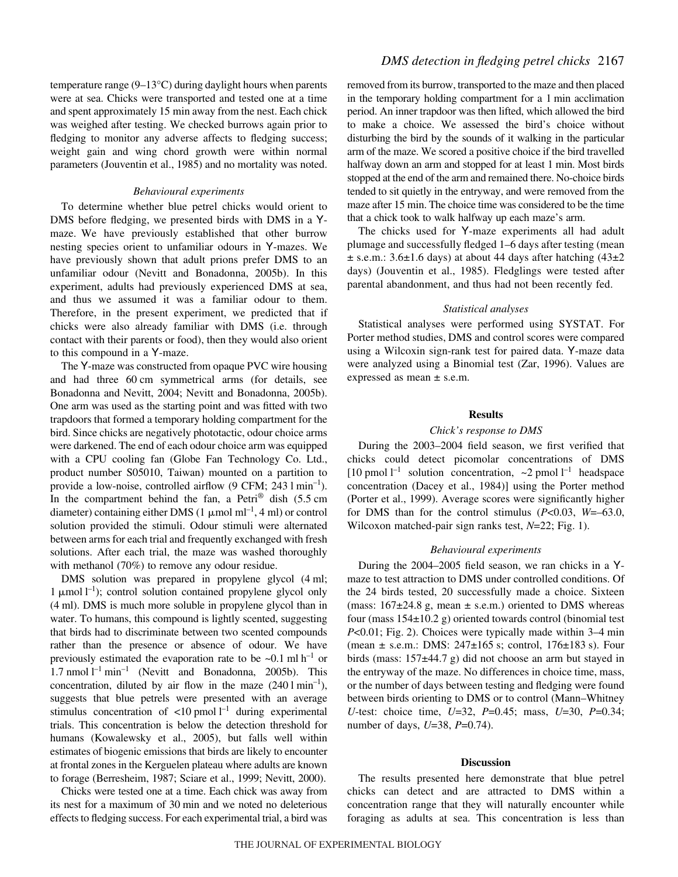temperature range (9–13°C) during daylight hours when parents were at sea. Chicks were transported and tested one at a time and spent approximately 15 min away from the nest. Each chick was weighed after testing. We checked burrows again prior to fledging to monitor any adverse affects to fledging success; weight gain and wing chord growth were within normal parameters (Jouventin et al., 1985) and no mortality was noted.

#### *Behavioural experiments*

To determine whether blue petrel chicks would orient to DMS before fledging, we presented birds with DMS in a Ymaze. We have previously established that other burrow nesting species orient to unfamiliar odours in Y-mazes. We have previously shown that adult prions prefer DMS to an unfamiliar odour (Nevitt and Bonadonna, 2005b). In this experiment, adults had previously experienced DMS at sea, and thus we assumed it was a familiar odour to them. Therefore, in the present experiment, we predicted that if chicks were also already familiar with DMS (i.e. through contact with their parents or food), then they would also orient to this compound in a Y-maze.

The Y-maze was constructed from opaque PVC wire housing and had three 60 cm symmetrical arms (for details, see Bonadonna and Nevitt, 2004; Nevitt and Bonadonna, 2005b). One arm was used as the starting point and was fitted with two trapdoors that formed a temporary holding compartment for the bird. Since chicks are negatively phototactic, odour choice arms were darkened. The end of each odour choice arm was equipped with a CPU cooling fan (Globe Fan Technology Co. Ltd., product number S05010, Taiwan) mounted on a partition to provide a low-noise, controlled airflow  $(9 \text{ CFM}; 243 \text{ l min}^{-1})$ . In the compartment behind the fan, a Petri<sup>®</sup> dish (5.5 cm diameter) containing either DMS (1  $\mu$ mol ml<sup>-1</sup>, 4 ml) or control solution provided the stimuli. Odour stimuli were alternated between arms for each trial and frequently exchanged with fresh solutions. After each trial, the maze was washed thoroughly with methanol (70%) to remove any odour residue.

DMS solution was prepared in propylene glycol  $(4 \text{ ml};$ 1  $\mu$ mol l<sup>-1</sup>); control solution contained propylene glycol only (4·ml). DMS is much more soluble in propylene glycol than in water. To humans, this compound is lightly scented, suggesting that birds had to discriminate between two scented compounds rather than the presence or absence of odour. We have previously estimated the evaporation rate to be  $\sim 0.1 \text{ ml h}^{-1}$  or 1.7 nmol  $l^{-1}$  min<sup>-1</sup> (Nevitt and Bonadonna, 2005b). This concentration, diluted by air flow in the maze  $(2401 \text{ min}^{-1})$ , suggests that blue petrels were presented with an average stimulus concentration of  $\lt 10$  pmol  $l^{-1}$  during experimental trials. This concentration is below the detection threshold for humans (Kowalewsky et al., 2005), but falls well within estimates of biogenic emissions that birds are likely to encounter at frontal zones in the Kerguelen plateau where adults are known to forage (Berresheim, 1987; Sciare et al., 1999; Nevitt, 2000).

Chicks were tested one at a time. Each chick was away from its nest for a maximum of 30 min and we noted no deleterious effects to fledging success. For each experimental trial, a bird was removed from its burrow, transported to the maze and then placed in the temporary holding compartment for a 1 min acclimation period. An inner trapdoor was then lifted, which allowed the bird to make a choice. We assessed the bird's choice without disturbing the bird by the sounds of it walking in the particular arm of the maze. We scored a positive choice if the bird travelled halfway down an arm and stopped for at least 1 min. Most birds stopped at the end of the arm and remained there. No-choice birds tended to sit quietly in the entryway, and were removed from the maze after 15 min. The choice time was considered to be the time that a chick took to walk halfway up each maze's arm.

The chicks used for Y-maze experiments all had adult plumage and successfully fledged 1–6 days after testing (mean  $\pm$  s.e.m.: 3.6 $\pm$ 1.6 days) at about 44 days after hatching (43 $\pm$ 2 days) (Jouventin et al., 1985). Fledglings were tested after parental abandonment, and thus had not been recently fed.

### *Statistical analyses*

Statistical analyses were performed using SYSTAT. For Porter method studies, DMS and control scores were compared using a Wilcoxin sign-rank test for paired data. Y-maze data were analyzed using a Binomial test (Zar, 1996). Values are expressed as mean ± s.e.m.

## **Results**

## *Chick's response to DMS*

During the 2003–2004 field season, we first verified that chicks could detect picomolar concentrations of DMS [10 pmol  $l^{-1}$  solution concentration,  $\sim$ 2 pmol  $l^{-1}$  headspace concentration (Dacey et al., 1984)] using the Porter method (Porter et al., 1999). Average scores were significantly higher for DMS than for the control stimulus (*P*<0.03, *W*=–63.0, Wilcoxon matched-pair sign ranks test,  $N=22$ ; Fig. 1).

#### *Behavioural experiments*

During the 2004–2005 field season, we ran chicks in a Ymaze to test attraction to DMS under controlled conditions. Of the 24 birds tested, 20 successfully made a choice. Sixteen (mass:  $167\pm24.8$  g, mean  $\pm$  s.e.m.) oriented to DMS whereas four (mass  $154\pm10.2$  g) oriented towards control (binomial test *P*<0.01; Fig. 2). Choices were typically made within 3–4 min (mean  $\pm$  s.e.m.: DMS: 247 $\pm$ 165 s; control, 176 $\pm$ 183 s). Four birds (mass:  $157\pm44.7$  g) did not choose an arm but stayed in the entryway of the maze. No differences in choice time, mass, or the number of days between testing and fledging were found between birds orienting to DMS or to control (Mann–Whitney *U*-test: choice time, *U*=32, *P*=0.45; mass, *U*=30, *P*=0.34; number of days, *U*=38, *P*=0.74).

### **Discussion**

The results presented here demonstrate that blue petrel chicks can detect and are attracted to DMS within a concentration range that they will naturally encounter while foraging as adults at sea. This concentration is less than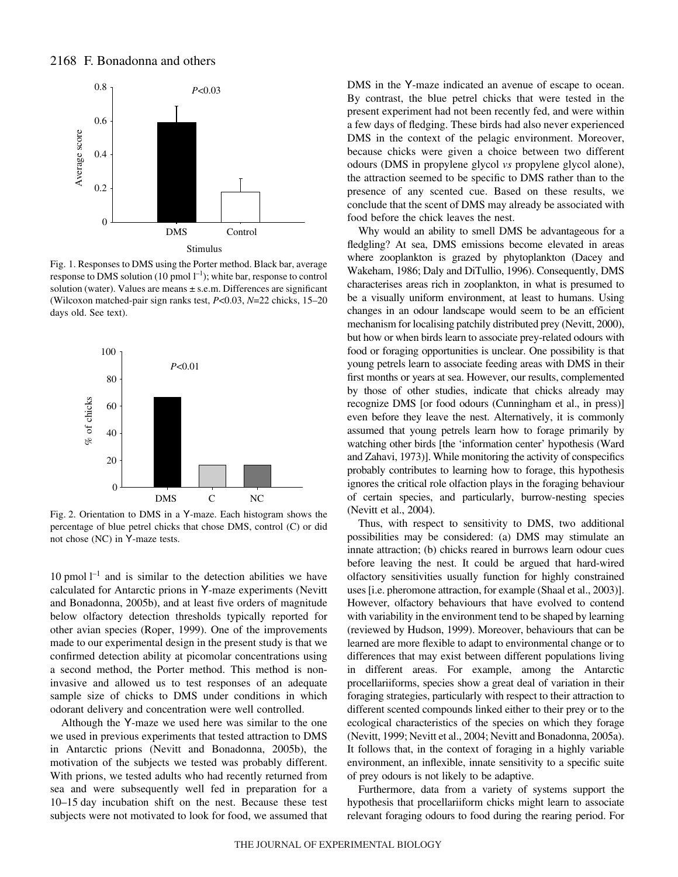# 2168 F. Bonadonna and others



Fig. 1. Responses to DMS using the Porter method. Black bar, average response to DMS solution (10 pmol  $l^{-1}$ ); white bar, response to control solution (water). Values are means  $\pm$  s.e.m. Differences are significant (Wilcoxon matched-pair sign ranks test, *P*<0.03, *N*=22 chicks, 15–20 days old. See text).



Fig. 2. Orientation to DMS in a Y-maze. Each histogram shows the percentage of blue petrel chicks that chose DMS, control (C) or did not chose (NC) in Y-maze tests.

10 pmol  $l^{-1}$  and is similar to the detection abilities we have calculated for Antarctic prions in Y-maze experiments (Nevitt and Bonadonna, 2005b), and at least five orders of magnitude below olfactory detection thresholds typically reported for other avian species (Roper, 1999). One of the improvements made to our experimental design in the present study is that we confirmed detection ability at picomolar concentrations using a second method, the Porter method. This method is noninvasive and allowed us to test responses of an adequate sample size of chicks to DMS under conditions in which odorant delivery and concentration were well controlled.

Although the Y-maze we used here was similar to the one we used in previous experiments that tested attraction to DMS in Antarctic prions (Nevitt and Bonadonna, 2005b), the motivation of the subjects we tested was probably different. With prions, we tested adults who had recently returned from sea and were subsequently well fed in preparation for a 10–15 day incubation shift on the nest. Because these test subjects were not motivated to look for food, we assumed that

DMS in the Y-maze indicated an avenue of escape to ocean. By contrast, the blue petrel chicks that were tested in the present experiment had not been recently fed, and were within a few days of fledging. These birds had also never experienced DMS in the context of the pelagic environment. Moreover, because chicks were given a choice between two different odours (DMS in propylene glycol *vs* propylene glycol alone), the attraction seemed to be specific to DMS rather than to the presence of any scented cue. Based on these results, we conclude that the scent of DMS may already be associated with food before the chick leaves the nest.

Why would an ability to smell DMS be advantageous for a fledgling? At sea, DMS emissions become elevated in areas where zooplankton is grazed by phytoplankton (Dacey and Wakeham, 1986; Daly and DiTullio, 1996). Consequently, DMS characterises areas rich in zooplankton, in what is presumed to be a visually uniform environment, at least to humans. Using changes in an odour landscape would seem to be an efficient mechanism for localising patchily distributed prey (Nevitt, 2000), but how or when birds learn to associate prey-related odours with food or foraging opportunities is unclear. One possibility is that young petrels learn to associate feeding areas with DMS in their first months or years at sea. However, our results, complemented by those of other studies, indicate that chicks already may recognize DMS [or food odours (Cunningham et al., in press)] even before they leave the nest. Alternatively, it is commonly assumed that young petrels learn how to forage primarily by watching other birds [the 'information center' hypothesis (Ward and Zahavi, 1973)]. While monitoring the activity of conspecifics probably contributes to learning how to forage, this hypothesis ignores the critical role olfaction plays in the foraging behaviour of certain species, and particularly, burrow-nesting species (Nevitt et al., 2004).

Thus, with respect to sensitivity to DMS, two additional possibilities may be considered: (a) DMS may stimulate an innate attraction; (b) chicks reared in burrows learn odour cues before leaving the nest. It could be argued that hard-wired olfactory sensitivities usually function for highly constrained uses [i.e. pheromone attraction, for example (Shaal et al., 2003)]. However, olfactory behaviours that have evolved to contend with variability in the environment tend to be shaped by learning (reviewed by Hudson, 1999). Moreover, behaviours that can be learned are more flexible to adapt to environmental change or to differences that may exist between different populations living in different areas. For example, among the Antarctic procellariiforms, species show a great deal of variation in their foraging strategies, particularly with respect to their attraction to different scented compounds linked either to their prey or to the ecological characteristics of the species on which they forage (Nevitt, 1999; Nevitt et al., 2004; Nevitt and Bonadonna, 2005a). It follows that, in the context of foraging in a highly variable environment, an inflexible, innate sensitivity to a specific suite of prey odours is not likely to be adaptive.

Furthermore, data from a variety of systems support the hypothesis that procellariiform chicks might learn to associate relevant foraging odours to food during the rearing period. For